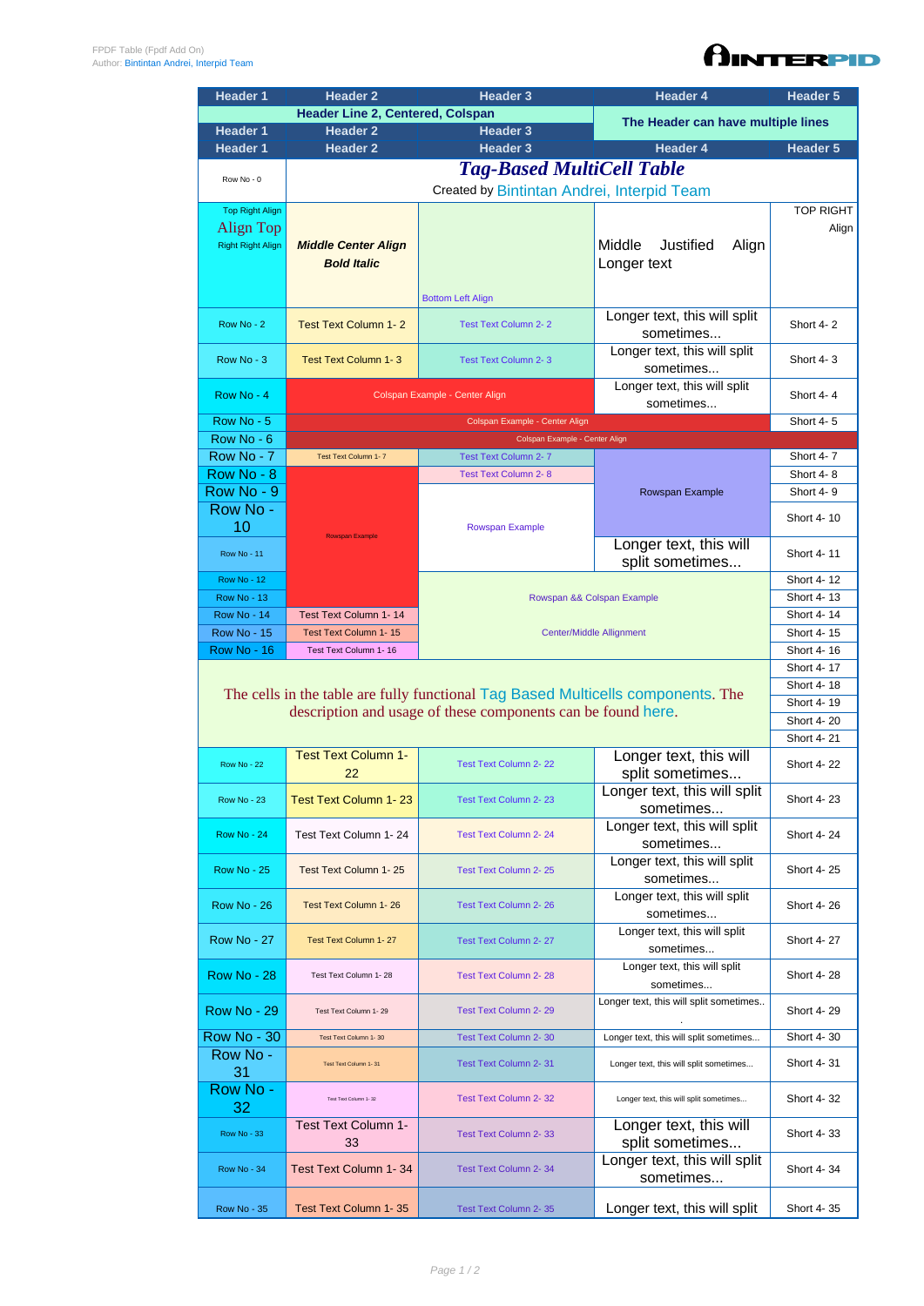| <b>Header Line 2, Centered, Colspan</b><br>Header 3                                                                      |                                    |  |  |  |  |
|--------------------------------------------------------------------------------------------------------------------------|------------------------------------|--|--|--|--|
| <b>Header 1</b><br><b>Header 2</b>                                                                                       | The Header can have multiple lines |  |  |  |  |
| <b>Header 1</b><br><b>Header 2</b><br><b>Header 3</b><br><b>Header 4</b>                                                 | Header 5                           |  |  |  |  |
| <b>Tag-Based MultiCell Table</b>                                                                                         |                                    |  |  |  |  |
| Row No - 0<br>Created by Bintintan Andrei, Interpid Team                                                                 |                                    |  |  |  |  |
| <b>Top Right Align</b>                                                                                                   | <b>TOP RIGHT</b>                   |  |  |  |  |
| Align Top                                                                                                                | Align                              |  |  |  |  |
| Middle<br>Justified<br><b>Right Right Align</b><br><b>Middle Center Align</b><br>Align                                   |                                    |  |  |  |  |
| <b>Bold Italic</b><br>Longer text                                                                                        |                                    |  |  |  |  |
|                                                                                                                          |                                    |  |  |  |  |
| <b>Bottom Left Align</b>                                                                                                 |                                    |  |  |  |  |
| Longer text, this will split<br>Row No - 2<br><b>Test Text Column 1-2</b><br><b>Test Text Column 2-2</b>                 | Short 4-2                          |  |  |  |  |
| sometimes                                                                                                                |                                    |  |  |  |  |
| Longer text, this will split<br>Row No - 3<br><b>Test Text Column 1-3</b><br><b>Test Text Column 2-3</b><br>sometimes    | Short 4-3                          |  |  |  |  |
| Longer text, this will split                                                                                             |                                    |  |  |  |  |
| Row No - 4<br>Colspan Example - Center Align<br>sometimes                                                                | Short 4-4                          |  |  |  |  |
| Row No - 5<br>Colspan Example - Center Align                                                                             | Short 4-5                          |  |  |  |  |
| Row No - 6<br>Colspan Example - Center Align                                                                             |                                    |  |  |  |  |
| Row No - 7<br>Test Text Column 1-7<br><b>Test Text Column 2-7</b>                                                        | Short 4-7                          |  |  |  |  |
| Row No - 8<br><b>Test Text Column 2-8</b>                                                                                | Short 4-8                          |  |  |  |  |
| Row No - 9<br>Rowspan Example                                                                                            | Short 4-9                          |  |  |  |  |
| Row No -                                                                                                                 | Short 4-10                         |  |  |  |  |
| 10<br><b>Rowspan Example</b><br><b>Rowspan Example</b>                                                                   |                                    |  |  |  |  |
| Longer text, this will<br><b>Row No - 11</b><br>split sometimes                                                          | Short 4-11                         |  |  |  |  |
| <b>Row No - 12</b>                                                                                                       | Short 4-12                         |  |  |  |  |
| <b>Row No - 13</b><br>Rowspan && Colspan Example                                                                         | Short 4-13                         |  |  |  |  |
| <b>Row No - 14</b><br>Test Text Column 1-14                                                                              | Short 4-14                         |  |  |  |  |
| <b>Row No - 15</b><br>Test Text Column 1-15<br><b>Center/Middle Allignment</b>                                           | Short 4-15                         |  |  |  |  |
| <b>Row No - 16</b><br>Test Text Column 1-16                                                                              | Short 4-16                         |  |  |  |  |
|                                                                                                                          |                                    |  |  |  |  |
| The cells in the table are fully functional Tag Based Multicells components. The                                         | Short 4-18                         |  |  |  |  |
| description and usage of these components can be found here.                                                             | Short 4-19                         |  |  |  |  |
|                                                                                                                          |                                    |  |  |  |  |
|                                                                                                                          | Short 4-21                         |  |  |  |  |
| Longer text, this will<br><b>Test Text Column 1-</b><br><b>Test Text Column 2-22</b><br><b>Row No - 22</b>               |                                    |  |  |  |  |
| split sometimes<br>22                                                                                                    | Short 4-22                         |  |  |  |  |
| Longer text, this will split<br><b>Test Text Column 1-23</b><br><b>Row No - 23</b><br><b>Test Text Column 2-23</b>       |                                    |  |  |  |  |
|                                                                                                                          | Short 4-23                         |  |  |  |  |
| sometimes                                                                                                                |                                    |  |  |  |  |
| Longer text, this will split<br>Test Text Column 1-24<br><b>Test Text Column 2-24</b><br><b>Row No - 24</b>              | Short 4-24                         |  |  |  |  |
| sometimes                                                                                                                |                                    |  |  |  |  |
| Longer text, this will split<br><b>Row No - 25</b><br>Test Text Column 1-25<br><b>Test Text Column 2-25</b><br>sometimes | Short 4-25                         |  |  |  |  |
| Longer text, this will split                                                                                             |                                    |  |  |  |  |
| <b>Row No - 26</b><br>Test Text Column 1-26<br><b>Test Text Column 2-26</b><br>sometimes                                 | Short 4-26                         |  |  |  |  |
| Longer text, this will split                                                                                             |                                    |  |  |  |  |
| <b>Row No - 27</b><br>Test Text Column 2-27<br>Test Text Column 1-27<br>sometimes                                        | Short 4-27                         |  |  |  |  |
| Longer text, this will split<br><b>Row No - 28</b><br>Test Text Column 1-28<br><b>Test Text Column 2-28</b>              | Short 4-28                         |  |  |  |  |
| sometimes                                                                                                                |                                    |  |  |  |  |
| Longer text, this will split sometimes<br><b>Row No - 29</b><br><b>Test Text Column 2-29</b><br>Test Text Column 1-29    | Short 4-29                         |  |  |  |  |
| Row No - 30<br>Longer text, this will split sometimes<br><b>Test Text Column 2-30</b><br>Test Text Column 1-30           | Short 4-30                         |  |  |  |  |
| Row No -<br>Test Text Column 2-31<br>Longer text, this will split sometimes<br>Test Text Column 1-31                     | Short 4-31                         |  |  |  |  |
| 31                                                                                                                       |                                    |  |  |  |  |
| Row No -<br>Test Text Column 1-32<br><b>Test Text Column 2-32</b><br>Longer text, this will split sometimes<br>32        | Short 4-32                         |  |  |  |  |
| Test Text Column 1-<br>Longer text, this will                                                                            |                                    |  |  |  |  |
| <b>Row No - 33</b><br>Test Text Column 2-33<br>split sometimes<br>33                                                     | Short 4-33                         |  |  |  |  |
| Longer text, this will split<br>Test Text Column 1-34<br>Test Text Column 2-34<br><b>Row No - 34</b><br>sometimes        | Short 4-34                         |  |  |  |  |